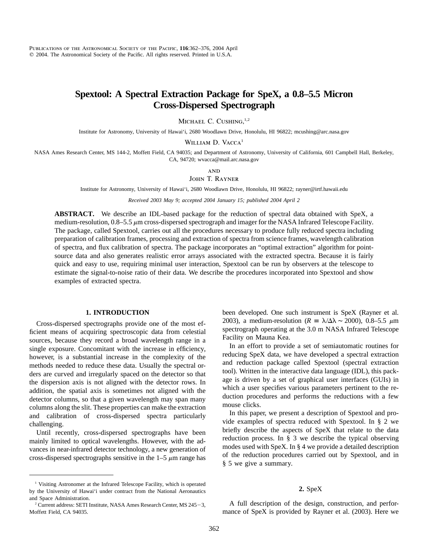# **Spextool: A Spectral Extraction Package for SpeX, a 0.8–5.5 Micron Cross-Dispersed Spectrograph**

MICHAEL C. CUSHING,<sup>1,2</sup>

Institute for Astronomy, University of Hawai'i, 2680 Woodlawn Drive, Honolulu, HI 96822; mcushing@arc.nasa.gov

WILLIAM D. VACCA<sup>1</sup>

NASA Ames Research Center, MS 144-2, Moffett Field, CA 94035; and Department of Astronomy, University of California, 601 Campbell Hall, Berkeley, CA, 94720; wvacca@mail.arc.nasa.gov

**AND** 

John T. Rayner

Institute for Astronomy, University of Hawai'i, 2680 Woodlawn Drive, Honolulu, HI 96822; rayner@irtf.hawaii.edu

*Received 2003 May 9; accepted 2004 January 15; published 2004 April 2*

**ABSTRACT.** We describe an IDL-based package for the reduction of spectral data obtained with SpeX, a medium-resolution,  $0.8-5.5 \mu$ m cross-dispersed spectrograph and imager for the NASA Infrared Telescope Facility. The package, called Spextool, carries out all the procedures necessary to produce fully reduced spectra including preparation of calibration frames, processing and extraction of spectra from science frames, wavelength calibration of spectra, and flux calibration of spectra. The package incorporates an "optimal extraction" algorithm for pointsource data and also generates realistic error arrays associated with the extracted spectra. Because it is fairly quick and easy to use, requiring minimal user interaction, Spextool can be run by observers at the telescope to estimate the signal-to-noise ratio of their data. We describe the procedures incorporated into Spextool and show examples of extracted spectra.

# **1. INTRODUCTION**

Cross-dispersed spectrographs provide one of the most efficient means of acquiring spectroscopic data from celestial sources, because they record a broad wavelength range in a single exposure. Concomitant with the increase in efficiency, however, is a substantial increase in the complexity of the methods needed to reduce these data. Usually the spectral orders are curved and irregularly spaced on the detector so that the dispersion axis is not aligned with the detector rows. In addition, the spatial axis is sometimes not aligned with the detector columns, so that a given wavelength may span many columns along the slit. These properties can make the extraction and calibration of cross-dispersed spectra particularly challenging.

Until recently, cross-dispersed spectrographs have been mainly limited to optical wavelengths. However, with the advances in near-infrared detector technology, a new generation of cross-dispersed spectrographs sensitive in the  $1-5 \mu m$  range has been developed. One such instrument is SpeX (Rayner et al. 2003), a medium-resolution ( $R = \lambda/\Delta\lambda \sim 2000$ ), 0.8–5.5  $\mu$ m spectrograph operating at the 3.0 m NASA Infrared Telescope Facility on Mauna Kea.

In an effort to provide a set of semiautomatic routines for reducing SpeX data, we have developed a spectral extraction and reduction package called Spextool (spectral extraction tool). Written in the interactive data language (IDL), this package is driven by a set of graphical user interfaces (GUIs) in which a user specifies various parameters pertinent to the reduction procedures and performs the reductions with a few mouse clicks.

In this paper, we present a description of Spextool and provide examples of spectra reduced with Spextool. In § 2 we briefly describe the aspects of SpeX that relate to the data reduction process. In § 3 we describe the typical observing modes used with SpeX. In § 4 we provide a detailed description of the reduction procedures carried out by Spextool, and in § 5 we give a summary.

## **2.** SpeX

A full description of the design, construction, and performance of SpeX is provided by Rayner et al. (2003). Here we

<sup>&</sup>lt;sup>1</sup> Visiting Astronomer at the Infrared Telescope Facility, which is operated by the University of Hawai'i under contract from the National Aeronautics and Space Administration.

<sup>&</sup>lt;sup>2</sup> Current address: SETI Institute, NASA Ames Research Center, MS  $245-3$ , Moffett Field, CA 94035.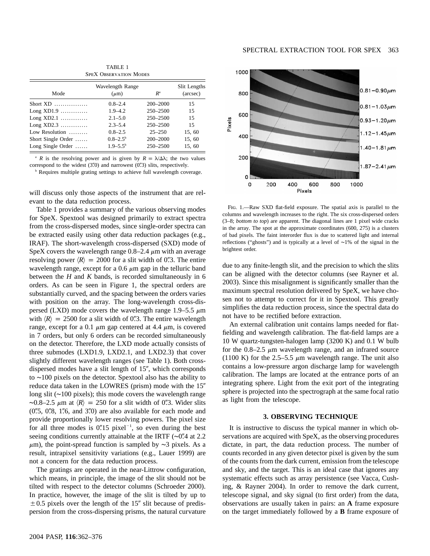| SPECTRAL EXTRACTION TOOL FOR SPEX 363 |  |  |
|---------------------------------------|--|--|
|---------------------------------------|--|--|

| TABLE 1<br><b>SPEX OBSERVATION MODES</b> |                               |             |                          |  |  |
|------------------------------------------|-------------------------------|-------------|--------------------------|--|--|
| Mode                                     | Wavelength Range<br>$(\mu m)$ | $R^{\rm a}$ | Slit Lengths<br>(arcsec) |  |  |
| Short $XD$                               | $0.8 - 2.4$                   | 200-2000    | 15                       |  |  |
| Long $XD1.9$                             | $1.9 - 4.2$                   | 250-2500    | 15                       |  |  |
| Long $XD2.1$                             | $2.1 - 5.0$                   | 250-2500    | 15                       |  |  |
| Long $XD2.3$                             | $2.3 - 5.4$                   | 250-2500    | 15                       |  |  |
| Low Resolution $\dots\dots$              | $0.8 - 2.5$                   | $25 - 250$  | 15.60                    |  |  |

*R* is the resolving power and is given by  $R = \lambda/\Delta\lambda$ ; the two values correspond to the widest  $(3\rlap.{''}0)$  and narrowest  $(0\rlap.{''}3)$  slits, respectively.

Short Single Order ......  $0.8-2.5^b$  200-2000 15, 60 Long Single Order ...... 1.9–5.5<sup>b</sup> 250–2500 15, 60

<sup>b</sup> Requires multiple grating settings to achieve full wavelength coverage.

will discuss only those aspects of the instrument that are relevant to the data reduction process.

Table 1 provides a summary of the various observing modes for SpeX. Spextool was designed primarily to extract spectra from the cross-dispersed modes, since single-order spectra can be extracted easily using other data reduction packages (e.g., IRAF). The short-wavelength cross-dispersed (SXD) mode of SpeX covers the wavelength range  $0.8-2.4 \mu m$  with an average resolving power  $\langle R \rangle = 2000$  for a slit width of 0".3. The entire wavelength range, except for a  $0.6 \mu m$  gap in the telluric band between the *H* and *K* bands, is recorded simultaneously in 6 orders. As can be seen in Figure 1, the spectral orders are substantially curved, and the spacing between the orders varies with position on the array. The long-wavelength cross-dispersed (LXD) mode covers the wavelength range 1.9–5.5  $\mu$ m with  $\langle R \rangle = 2500$  for a slit width of 0''.3. The entire wavelength range, except for a 0.1  $\mu$ m gap centered at 4.4  $\mu$ m, is covered in 7 orders, but only 6 orders can be recorded simultaneously on the detector. Therefore, the LXD mode actually consists of three submodes (LXD1.9, LXD2.1, and LXD2.3) that cover slightly different wavelength ranges (see Table 1). Both crossdispersed modes have a slit length of 15", which corresponds to ∼100 pixels on the detector. Spextool also has the ability to reduce data taken in the LOWRES (prism) mode with the 15 long slit (∼100 pixels); this mode covers the wavelength range ~0.8–2.5  $\mu$ m at  $\langle R \rangle$  = 250 for a slit width of 0"3. Wider slits  $(0.5, 0.8, 1.6, 1.6, 3.0)$  are also available for each mode and provide proportionally lower resolving powers. The pixel size for all three modes is  $0\rlap.{''}15$  pixel<sup>-1</sup>, so even during the best seeing conditions currently attainable at the IRTF (~0".4 at 2.2  $\mu$ m), the point-spread function is sampled by ∼3 pixels. As a result, intrapixel sensitivity variations (e.g., Lauer 1999) are not a concern for the data reduction process.

The gratings are operated in the near-Littrow configuration, which means, in principle, the image of the slit should not be tilted with respect to the detector columns (Schroeder 2000). In practice, however, the image of the slit is tilted by up to  $\pm$  0.5 pixels over the length of the 15" slit because of predispersion from the cross-dispersing prisms, the natural curvature



Fig. 1.—Raw SXD flat-field exposure. The spatial axis is parallel to the columns and wavelength increases to the right. The six cross-dispersed orders (3–8; *bottom to top*) are apparent. The diagonal lines are 1 pixel wide cracks in the array. The spot at the approximate coordinates (600, 275) is a clusters of bad pixels. The faint interorder flux is due to scattered light and internal reflections ("ghosts") and is typically at a level of ∼1% of the signal in the brightest order.

due to any finite-length slit, and the precision to which the slits can be aligned with the detector columns (see Rayner et al. 2003). Since this misalignment is significantly smaller than the maximum spectral resolution delivered by SpeX, we have chosen not to attempt to correct for it in Spextool. This greatly simplifies the data reduction process, since the spectral data do not have to be rectified before extraction.

An external calibration unit contains lamps needed for flatfielding and wavelength calibration. The flat-field lamps are a 10 W quartz-tungsten-halogen lamp (3200 K) and 0.1 W bulb for the  $0.8-2.5 \mu m$  wavelength range, and an infrared source (1100 K) for the 2.5–5.5  $\mu$ m wavelength range. The unit also contains a low-pressure argon discharge lamp for wavelength calibration. The lamps are located at the entrance ports of an integrating sphere. Light from the exit port of the integrating sphere is projected into the spectrograph at the same focal ratio as light from the telescope.

#### **3. OBSERVING TECHNIQUE**

It is instructive to discuss the typical manner in which observations are acquired with SpeX, as the observing procedures dictate, in part, the data reduction process. The number of counts recorded in any given detector pixel is given by the sum of the counts from the dark current, emission from the telescope and sky, and the target. This is an ideal case that ignores any systematic effects such as array persistence (see Vacca, Cushing, & Rayner 2004). In order to remove the dark current, telescope signal, and sky signal (to first order) from the data, observations are usually taken in pairs: an **A** frame exposure on the target immediately followed by a **B** frame exposure of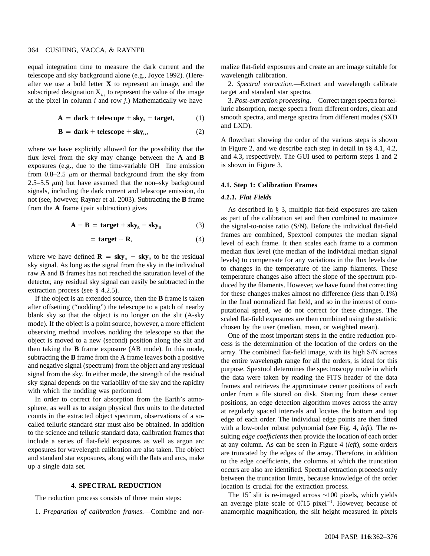equal integration time to measure the dark current and the telescope and sky background alone (e.g., Joyce 1992). (Hereafter we use a bold letter **X** to represent an image, and the subscripted designation  $X_{i,j}$  to represent the value of the image at the pixel in column *i* and row *j*.) Mathematically we have

$$
A = dark + telescope + skyA + target,
$$
 (1)

$$
\mathbf{B} = \mathbf{dark} + \mathbf{telescope} + \mathbf{sky}_{\mathrm{B}},\tag{2}
$$

where we have explicitly allowed for the possibility that the flux level from the sky may change between the **A** and **B** exposures (e.g., due to the time-variable  $OH^-$  line emission from  $0.8-2.5 \mu m$  or thermal background from the sky from 2.5–5.5  $\mu$ m) but have assumed that the non–sky background signals, including the dark current and telescope emission, do not (see, however, Rayner et al. 2003). Subtracting the **B** frame from the **A** frame (pair subtraction) gives

$$
A - B = target + skyA - skyB
$$
 (3)

$$
= target + R, \tag{4}
$$

where we have defined  $\mathbf{R} = s \mathbf{k} \mathbf{y}_{\text{A}} - s \mathbf{k} \mathbf{y}_{\text{B}}$  to be the residual sky signal. As long as the signal from the sky in the individual raw **A** and **B** frames has not reached the saturation level of the detector, any residual sky signal can easily be subtracted in the extraction process (see § 4.2.5).

If the object is an extended source, then the **B** frame is taken after offsetting ("nodding") the telescope to a patch of nearby blank sky so that the object is no longer on the slit (A-sky mode). If the object is a point source, however, a more efficient observing method involves nodding the telescope so that the object is moved to a new (second) position along the slit and then taking the **B** frame exposure (AB mode). In this mode, subtracting the **B** frame from the **A** frame leaves both a positive and negative signal (spectrum) from the object and any residual signal from the sky. In either mode, the strength of the residual sky signal depends on the variability of the sky and the rapidity with which the nodding was performed.

In order to correct for absorption from the Earth's atmosphere, as well as to assign physical flux units to the detected counts in the extracted object spectrum, observations of a socalled telluric standard star must also be obtained. In addition to the science and telluric standard data, calibration frames that include a series of flat-field exposures as well as argon arc exposures for wavelength calibration are also taken. The object and standard star exposures, along with the flats and arcs, make up a single data set.

## **4. SPECTRAL REDUCTION**

The reduction process consists of three main steps:

1. *Preparation of calibration frames*.—Combine and nor-

malize flat-field exposures and create an arc image suitable for wavelength calibration.

2. *Spectral extraction*.—Extract and wavelength calibrate target and standard star spectra.

3. *Post-extraction processing*.—Correct target spectra for telluric absorption, merge spectra from different orders, clean and smooth spectra, and merge spectra from different modes (SXD and LXD).

A flowchart showing the order of the various steps is shown in Figure 2, and we describe each step in detail in §§ 4.1, 4.2, and 4.3, respectively. The GUI used to perform steps 1 and 2 is shown in Figure 3.

#### **4.1. Step 1: Calibration Frames**

## *4.1.1. Flat Fields*

As described in § 3, multiple flat-field exposures are taken as part of the calibration set and then combined to maximize the signal-to-noise ratio (S/N). Before the individual flat-field frames are combined, Spextool computes the median signal level of each frame. It then scales each frame to a common median flux level (the median of the individual median signal levels) to compensate for any variations in the flux levels due to changes in the temperature of the lamp filaments. These temperature changes also affect the slope of the spectrum produced by the filaments. However, we have found that correcting for these changes makes almost no difference (less than 0.1%) in the final normalized flat field, and so in the interest of computational speed, we do not correct for these changes. The scaled flat-field exposures are then combined using the statistic chosen by the user (median, mean, or weighted mean).

One of the most important steps in the entire reduction process is the determination of the location of the orders on the array. The combined flat-field image, with its high S/N across the entire wavelength range for all the orders, is ideal for this purpose. Spextool determines the spectroscopy mode in which the data were taken by reading the FITS header of the data frames and retrieves the approximate center positions of each order from a file stored on disk. Starting from these center positions, an edge detection algorithm moves across the array at regularly spaced intervals and locates the bottom and top edge of each order. The individual edge points are then fitted with a low-order robust polynomial (see Fig. 4, *left*). The resulting *edge coefficients* then provide the location of each order at any column. As can be seen in Figure 4 (*left*), some orders are truncated by the edges of the array. Therefore, in addition to the edge coefficients, the columns at which the truncation occurs are also are identified. Spectral extraction proceeds only between the truncation limits, because knowledge of the order location is crucial for the extraction process.

The 15" slit is re-imaged across  $~100$  pixels, which yields an average plate scale of  $0\rlap.{''}15$  pixel<sup>-1</sup>. However, because of anamorphic magnification, the slit height measured in pixels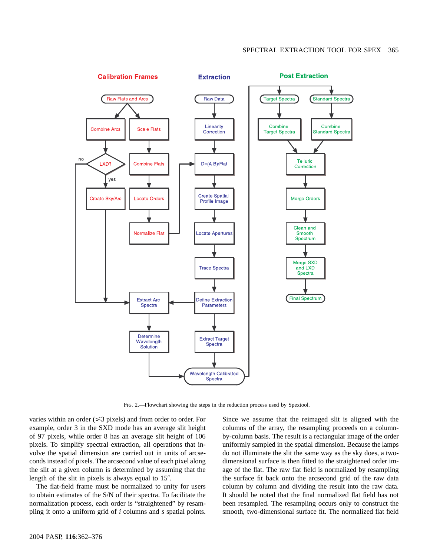

Fig. 2.—Flowchart showing the steps in the reduction process used by Spextool.

varies within an order  $(\leq 3$  pixels) and from order to order. For example, order 3 in the SXD mode has an average slit height of 97 pixels, while order 8 has an average slit height of 106 pixels. To simplify spectral extraction, all operations that involve the spatial dimension are carried out in units of arcseconds instead of pixels. The arcsecond value of each pixel along the slit at a given column is determined by assuming that the length of the slit in pixels is always equal to 15".

The flat-field frame must be normalized to unity for users to obtain estimates of the S/N of their spectra. To facilitate the normalization process, each order is "straightened" by resampling it onto a uniform grid of *i* columns and *s* spatial points. Since we assume that the reimaged slit is aligned with the columns of the array, the resampling proceeds on a columnby-column basis. The result is a rectangular image of the order uniformly sampled in the spatial dimension. Because the lamps do not illuminate the slit the same way as the sky does, a twodimensional surface is then fitted to the straightened order image of the flat. The raw flat field is normalized by resampling the surface fit back onto the arcsecond grid of the raw data column by column and dividing the result into the raw data. It should be noted that the final normalized flat field has not been resampled. The resampling occurs only to construct the smooth, two-dimensional surface fit. The normalized flat field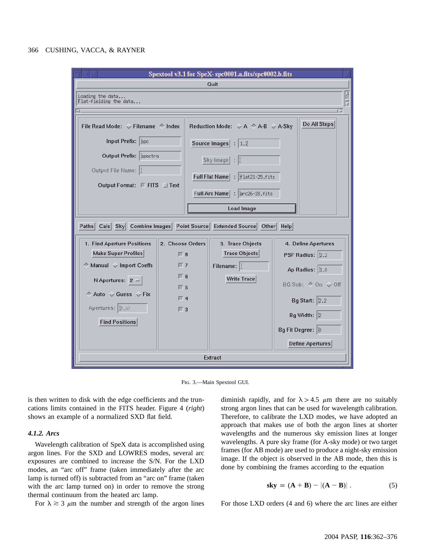| Spextool v3.1 for SpeX-spc0001.a.fits/spc0002.b.fits                                                                                 |                      |                  |                          |  |  |  |  |
|--------------------------------------------------------------------------------------------------------------------------------------|----------------------|------------------|--------------------------|--|--|--|--|
| Quit                                                                                                                                 |                      |                  |                          |  |  |  |  |
| Loading the data<br>Flat-fielding the data                                                                                           |                      |                  |                          |  |  |  |  |
| œ                                                                                                                                    |                      |                  |                          |  |  |  |  |
| Do All Steps<br>Reduction Mode: $\Diamond$ A $\Diamond$ A-B $\Diamond$ A-Sky<br>File Read Mode: $\Diamond$ Filename $\Diamond$ Index |                      |                  |                          |  |  |  |  |
| Input Prefix: spc<br>Source Images $  :   1, \mathbb{Z} $                                                                            |                      |                  |                          |  |  |  |  |
| Output Prefix: spectra<br>Sky linage $ : $                                                                                           |                      |                  |                          |  |  |  |  |
| Output File Hame:  <br>Full Flat Name : Flat21-25.fits                                                                               |                      |                  |                          |  |  |  |  |
| Output Format: FFITS IText                                                                                                           |                      |                  |                          |  |  |  |  |
| Full Arc Name :   arc26-28.fits                                                                                                      |                      |                  |                          |  |  |  |  |
|                                                                                                                                      | <b>Load Image</b>    |                  |                          |  |  |  |  |
| Paths Cals Sky Combine Images Point Source Extended Source Other Help                                                                |                      |                  |                          |  |  |  |  |
| 1. Find Aperture Positions                                                                                                           | 2. Choose Orders     | 3. Trace Objects | 4. Define Apertures      |  |  |  |  |
| Make Super Profiles                                                                                                                  | Γя                   | Trace Objects    | PSF Radius: 2.2          |  |  |  |  |
| $\Diamond$ Manual $\Diamond$ Import Coeffs                                                                                           | $\Box$ 7             | Filename:        | Ap Radius: 1.0           |  |  |  |  |
| N Apertures: $ 2 =  $                                                                                                                | Γ6                   | Write Trace      | BG Sub: ◆ On ↓ Off       |  |  |  |  |
| $\rightsquigarrow$ Auto $\rightsquigarrow$ Guess $\rightsquigarrow$ Fix                                                              | $\Box$ 5<br>$\Box$ 4 |                  |                          |  |  |  |  |
| Apertures: [3,10]                                                                                                                    | $\Box$ 3             |                  | Bg Start: $\mathbb{Z}.2$ |  |  |  |  |
| <b>Find Positions</b>                                                                                                                |                      |                  | Bg Width: $\mathbb{Z}$   |  |  |  |  |
|                                                                                                                                      |                      |                  | <b>Bg Fit Degree:</b> D  |  |  |  |  |
|                                                                                                                                      |                      |                  | Define Apertures         |  |  |  |  |
| Extract                                                                                                                              |                      |                  |                          |  |  |  |  |

Fig. 3.—Main Spextool GUI.

is then written to disk with the edge coefficients and the truncations limits contained in the FITS header. Figure 4 (*right*) shows an example of a normalized SXD flat field.

## *4.1.2. Arcs*

Wavelength calibration of SpeX data is accomplished using argon lines. For the SXD and LOWRES modes, several arc exposures are combined to increase the S/N. For the LXD modes, an "arc off" frame (taken immediately after the arc lamp is turned off) is subtracted from an "arc on" frame (taken with the arc lamp turned on) in order to remove the strong thermal continuum from the heated arc lamp.

For  $\lambda \ge 3$   $\mu$ m the number and strength of the argon lines

diminish rapidly, and for  $\lambda > 4.5 \mu m$  there are no suitably strong argon lines that can be used for wavelength calibration. Therefore, to calibrate the LXD modes, we have adopted an approach that makes use of both the argon lines at shorter wavelengths and the numerous sky emission lines at longer wavelengths. A pure sky frame (for A-sky mode) or two target frames (for AB mode) are used to produce a night-sky emission image. If the object is observed in the AB mode, then this is done by combining the frames according to the equation

$$
sky = (A + B) - |(A - B)|.
$$
 (5)

For those LXD orders (4 and 6) where the arc lines are either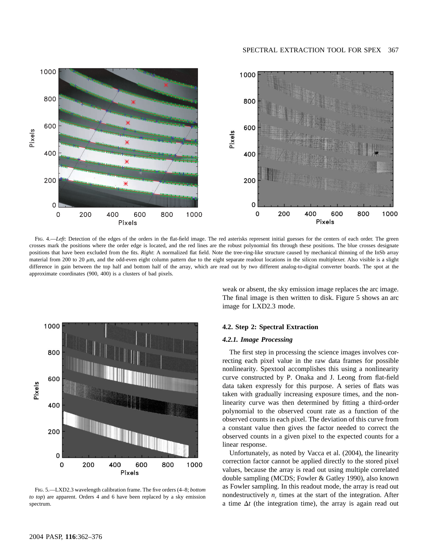

Fig. 4.—*Left*: Detection of the edges of the orders in the flat-field image. The red asterisks represent initial guesses for the centers of each order. The green crosses mark the positions where the order edge is located, and the red lines are the robust polynomial fits through these positions. The blue crosses designate positions that have been excluded from the fits. *Right*: A normalized flat field. Note the tree-ring-like structure caused by mechanical thinning of the InSb array material from 200 to 20  $\mu$ m, and the odd-even eight column pattern due to the eight separate readout locations in the silicon multiplexer. Also visible is a slight difference in gain between the top half and bottom half of the array, which are read out by two different analog-to-digital converter boards. The spot at the approximate coordinates (900, 400) is a clusters of bad pixels.



Fig. 5.—LXD2.3 wavelength calibration frame. The five orders (4–8; *bottom to top*) are apparent. Orders 4 and 6 have been replaced by a sky emission spectrum.

weak or absent, the sky emission image replaces the arc image. The final image is then written to disk. Figure 5 shows an arc image for LXD2.3 mode.

## **4.2. Step 2: Spectral Extraction**

## *4.2.1. Image Processing*

The first step in processing the science images involves correcting each pixel value in the raw data frames for possible nonlinearity. Spextool accomplishes this using a nonlinearity curve constructed by P. Onaka and J. Leong from flat-field data taken expressly for this purpose. A series of flats was taken with gradually increasing exposure times, and the nonlinearity curve was then determined by fitting a third-order polynomial to the observed count rate as a function of the observed counts in each pixel. The deviation of this curve from a constant value then gives the factor needed to correct the observed counts in a given pixel to the expected counts for a linear response.

Unfortunately, as noted by Vacca et al. (2004), the linearity correction factor cannot be applied directly to the stored pixel values, because the array is read out using multiple correlated double sampling (MCDS; Fowler & Gatley 1990), also known as Fowler sampling. In this readout mode, the array is read out nondestructively  $n_r$ , times at the start of the integration. After a time  $\Delta t$  (the integration time), the array is again read out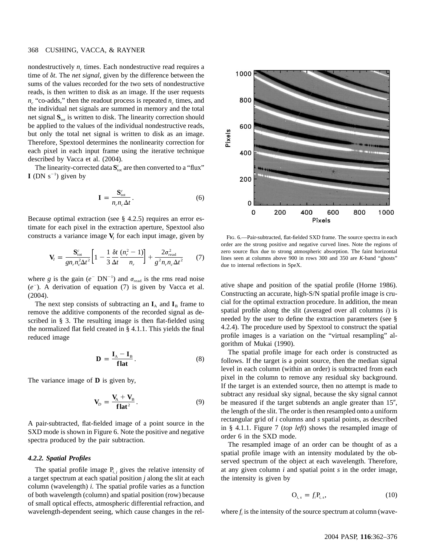nondestructively  $n_r$ , times. Each nondestructive read requires a time of  $\delta t$ . The *net signal*, given by the difference between the sums of the values recorded for the two sets of nondestructive reads, is then written to disk as an image. If the user requests  $n_c$  "co-adds," then the readout process is repeated  $n_c$  times, and the individual net signals are summed in memory and the total net signal  $S<sub>tot</sub>$  is written to disk. The linearity correction should be applied to the values of the individual nondestructive reads, but only the total net signal is written to disk as an image. Therefore, Spextool determines the nonlinearity correction for each pixel in each input frame using the iterative technique described by Vacca et al. (2004).

The linearity-corrected data  $S_{\text{tot}}^c$  are then converted to a "flux" **I** (DN  $s^{-1}$ ) given by

$$
\mathbf{I} = \frac{\mathbf{S}_{\text{tot}}^c}{n_r n_c \Delta t}.
$$
 (6)

Because optimal extraction (see § 4.2.5) requires an error estimate for each pixel in the extraction aperture, Spextool also constructs a variance image  $V$ <sup>*I*</sup> for each input image, given by

$$
\mathbf{V}_{I} = \frac{\mathbf{S}_{\text{tot}}^{c}}{gn_{r}n_{c}^{2}\Delta t^{2}} \bigg[ 1 - \frac{1}{3} \frac{\delta t}{\Delta t} \frac{(n_{r}^{2} - 1)}{n_{r}} \bigg] + \frac{2\sigma_{\text{read}}^{2}}{g^{2}n_{r}n_{c}\Delta t^{2}} \qquad (7)
$$

where *g* is the gain ( $e^-$  DN<sup>-1</sup>) and  $\sigma_{\text{read}}$  is the rms read noise  $(e^-)$ . A derivation of equation (7) is given by Vacca et al. (2004).

The next step consists of subtracting an  $\mathbf{I}_{A}$  and  $\mathbf{I}_{B}$  frame to remove the additive components of the recorded signal as described in § 3. The resulting image is then flat-fielded using the normalized flat field created in § 4.1.1. This yields the final reduced image

$$
\mathbf{D} = \frac{\mathbf{I}_{\mathrm{A}} - \mathbf{I}_{\mathrm{B}}}{\mathbf{flat}}.
$$
 (8)

The variance image of  $\bf{D}$  is given by,

$$
\mathbf{V}_D = \frac{\mathbf{V}_A + \mathbf{V}_B}{\mathbf{flat}^2}.
$$
 (9)

A pair-subtracted, flat-fielded image of a point source in the SXD mode is shown in Figure 6. Note the positive and negative spectra produced by the pair subtraction.

## *4.2.2. Spatial Profiles*

The spatial profile image  $P_i$ , gives the relative intensity of a target spectrum at each spatial position *j* along the slit at each column (wavelength) *i*. The spatial profile varies as a function of both wavelength (column) and spatial position (row) because of small optical effects, atmospheric differential refraction, and wavelength-dependent seeing, which cause changes in the rel-



Fig. 6.—Pair-subtracted, flat-fielded SXD frame. The source spectra in each order are the strong positive and negative curved lines. Note the regions of zero source flux due to strong atmospheric absorption. The faint horizontal lines seen at columns above 900 in rows 300 and 350 are *K*-band "ghosts" due to internal reflections in SpeX.

ative shape and position of the spatial profile (Horne 1986). Constructing an accurate, high-S/N spatial profile image is crucial for the optimal extraction procedure. In addition, the mean spatial profile along the slit (averaged over all columns *i*) is needed by the user to define the extraction parameters (see § 4.2.4). The procedure used by Spextool to construct the spatial profile images is a variation on the "virtual resampling" algorithm of Mukai (1990).

The spatial profile image for each order is constructed as follows. If the target is a point source, then the median signal level in each column (within an order) is subtracted from each pixel in the column to remove any residual sky background. If the target is an extended source, then no attempt is made to subtract any residual sky signal, because the sky signal cannot be measured if the target subtends an angle greater than 15", the length of the slit. The order is then resampled onto a uniform rectangular grid of *i* columns and *s* spatial points, as described in § 4.1.1. Figure 7 (*top left*) shows the resampled image of order 6 in the SXD mode.

The resampled image of an order can be thought of as a spatial profile image with an intensity modulated by the observed spectrum of the object at each wavelength. Therefore, at any given column *i* and spatial point *s* in the order image, the intensity is given by

$$
\mathbf{O}_{i,s} = f_i \mathbf{P}_{i,s},\tag{10}
$$

where  $f_i$  is the intensity of the source spectrum at column (wave-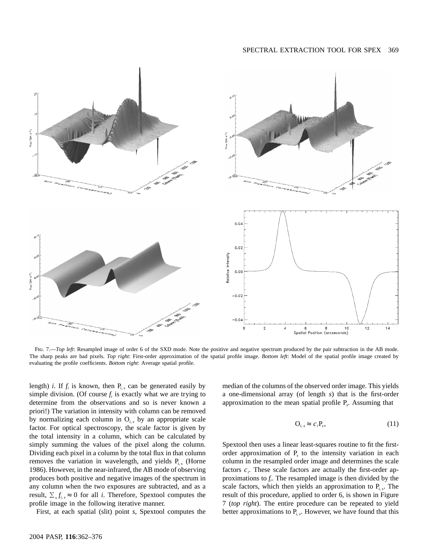

Fig. 7.—*Top left*: Resampled image of order 6 of the SXD mode. Note the positive and negative spectrum produced by the pair subtraction in the AB mode. The sharp peaks are bad pixels. *Top right*: First-order approximation of the spatial profile image. *Bottom left*: Model of the spatial profile image created by evaluating the profile coefficients. *Bottom right*: Average spatial profile.

length) *i*. If  $f_i$  is known, then  $P_{i,s}$  can be generated easily by simple division. (Of course  $f_i$  is exactly what we are trying to determine from the observations and so is never known a priori!) The variation in intensity with column can be removed by normalizing each column in  $O_i$ , by an appropriate scale factor. For optical spectroscopy, the scale factor is given by the total intensity in a column, which can be calculated by simply summing the values of the pixel along the column. Dividing each pixel in a column by the total flux in that column removes the variation in wavelength, and yields  $P_{i,s}$  (Horne 1986). However, in the near-infrared, the AB mode of observing produces both positive and negative images of the spectrum in any column when the two exposures are subtracted, and as a result,  $\sum_{s} f_{i,s} \approx 0$  for all *i*. Therefore, Spextool computes the profile image in the following iterative manner.

First, at each spatial (slit) point *s*, Spextool computes the

median of the columns of the observed order image. This yields a one-dimensional array (of length *s*) that is the first-order approximation to the mean spatial profile  $P_s$ . Assuming that

$$
\mathbf{O}_{i,s} \approx c_i \mathbf{P}_s,\tag{11}
$$

Spextool then uses a linear least-squares routine to fit the firstorder approximation of  $P<sub>s</sub>$  to the intensity variation in each column in the resampled order image and determines the scale factors  $c_i$ . These scale factors are actually the first-order approximations to  $f_i$ . The resampled image is then divided by the scale factors, which then yields an approximation to  $P_{i,s}$ . The result of this procedure, applied to order 6, is shown in Figure 7 (*top right*). The entire procedure can be repeated to yield better approximations to  $P_{i,s}$ . However, we have found that this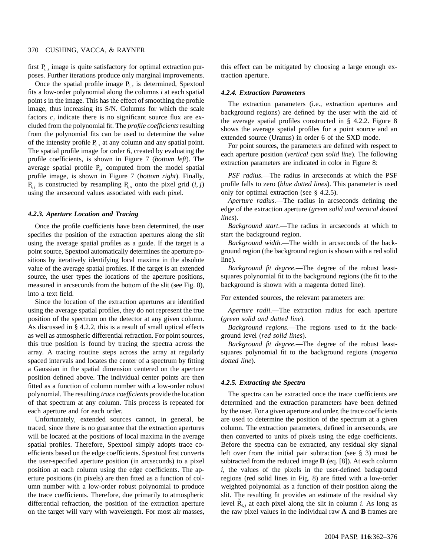first  $P_{i,s}$  image is quite satisfactory for optimal extraction purposes. Further iterations produce only marginal improvements.

Once the spatial profile image  $P_{i,s}$  is determined, Spextool fits a low-order polynomial along the columns *i* at each spatial point *s* in the image. This has the effect of smoothing the profile image, thus increasing its S/N. Columns for which the scale factors  $c_i$  indicate there is no significant source flux are excluded from the polynomial fit. The *profile coefficients*resulting from the polynomial fits can be used to determine the value of the intensity profile  $P_i$ , at any column and any spatial point. The spatial profile image for order 6, created by evaluating the profile coefficients, is shown in Figure 7 (*bottom left*). The average spatial profile  $P_s$ , computed from the model spatial profile image, is shown in Figure 7 (*bottom right*). Finally,  $P_{i,i}$  is constructed by resampling  $P_{i,s}$  onto the pixel grid  $(i, j)$ using the arcsecond values associated with each pixel.

#### *4.2.3. Aperture Location and Tracing*

Once the profile coefficients have been determined, the user specifies the position of the extraction apertures along the slit using the average spatial profiles as a guide. If the target is a point source, Spextool automatically determines the aperture positions by iteratively identifying local maxima in the absolute value of the average spatial profiles. If the target is an extended source, the user types the locations of the aperture positions, measured in arcseconds from the bottom of the slit (see Fig. 8), into a text field.

Since the location of the extraction apertures are identified using the average spatial profiles, they do not represent the true position of the spectrum on the detector at any given column. As discussed in § 4.2.2, this is a result of small optical effects as well as atmospheric differential refraction. For point sources, this true position is found by tracing the spectra across the array. A tracing routine steps across the array at regularly spaced intervals and locates the center of a spectrum by fitting a Gaussian in the spatial dimension centered on the aperture position defined above. The individual center points are then fitted as a function of column number with a low-order robust polynomial. The resulting *trace coefficients* provide the location of that spectrum at any column. This process is repeated for each aperture and for each order.

Unfortunately, extended sources cannot, in general, be traced, since there is no guarantee that the extraction apertures will be located at the positions of local maxima in the average spatial profiles. Therefore, Spextool simply adopts trace coefficients based on the edge coefficients. Spextool first converts the user-specified aperture position (in arcseconds) to a pixel position at each column using the edge coefficients. The aperture positions (in pixels) are then fitted as a function of column number with a low-order robust polynomial to produce the trace coefficients. Therefore, due primarily to atmospheric differential refraction, the position of the extraction aperture on the target will vary with wavelength. For most air masses, this effect can be mitigated by choosing a large enough extraction aperture.

#### *4.2.4. Extraction Parameters*

The extraction parameters (i.e., extraction apertures and background regions) are defined by the user with the aid of the average spatial profiles constructed in § 4.2.2. Figure 8 shows the average spatial profiles for a point source and an extended source (Uranus) in order 6 of the SXD mode.

For point sources, the parameters are defined with respect to each aperture position (*vertical cyan solid line*). The following extraction parameters are indicated in color in Figure 8:

*PSF radius*.—The radius in arcseconds at which the PSF profile falls to zero (*blue dotted lines*). This parameter is used only for optimal extraction (see § 4.2.5).

*Aperture radius*.—The radius in arcseconds defining the edge of the extraction aperture (*green solid and vertical dotted lines*).

*Background start*.—The radius in arcseconds at which to start the background region.

*Background width*.—The width in arcseconds of the background region (the background region is shown with a red solid line).

*Background fit degree*.—The degree of the robust leastsquares polynomial fit to the background regions (the fit to the background is shown with a magenta dotted line).

For extended sources, the relevant parameters are:

*Aperture radii*.—The extraction radius for each aperture (*green solid and dotted line*).

*Background regions*.—The regions used to fit the background level (*red solid lines*).

*Background fit degree*.—The degree of the robust leastsquares polynomial fit to the background regions (*magenta dotted line*).

## *4.2.5. Extracting the Spectra*

The spectra can be extracted once the trace coefficients are determined and the extraction parameters have been defined by the user. For a given aperture and order, the trace coefficients are used to determine the position of the spectrum at a given column. The extraction parameters, defined in arcseconds, are then converted to units of pixels using the edge coefficients. Before the spectra can be extracted, any residual sky signal left over from the initial pair subtraction (see § 3) must be subtracted from the reduced image  $\bf{D}$  (eq. [8]). At each column *i*, the values of the pixels in the user-defined background regions (red solid lines in Fig. 8) are fitted with a low-order weighted polynomial as a function of their position along the slit. The resulting fit provides an estimate of the residual sky level  $\tilde{R}_{i,j}$  at each pixel along the slit in column *i*. As long as the raw pixel values in the individual raw  $A$  and  $B$  frames are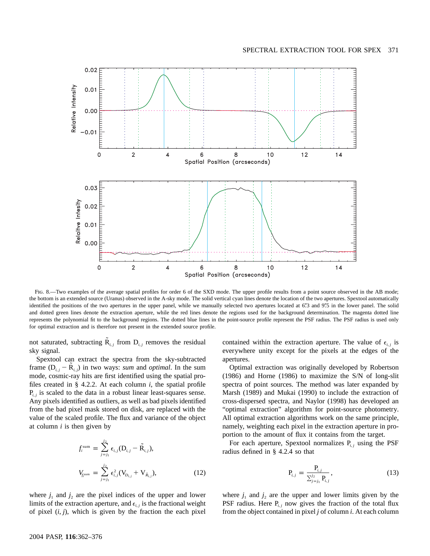

Fig. 8.—Two examples of the average spatial profiles for order 6 of the SXD mode. The upper profile results from a point source observed in the AB mode; the bottom is an extended source (Uranus) observed in the A-sky mode. The solid vertical cyan lines denote the location of the two apertures. Spextool automatically identified the positions of the two apertures in the upper panel, while we manually selected two apertures located at 6"3 and 9"5 in the lower panel. The solid and dotted green lines denote the extraction aperture, while the red lines denote the regions used for the background determination. The magenta dotted line represents the polynomial fit to the background regions. The dotted blue lines in the point-source profile represent the PSF radius. The PSF radius is used only for optimal extraction and is therefore not present in the extended source profile.

not saturated, subtracting  $\tilde{R}_{i,j}$  from  $D_{i,j}$  removes the residual sky signal.

Spextool can extract the spectra from the sky-subtracted frame  $(D_{i,j} - \tilde{R}_{i,j})$  in two ways: *sum* and *optimal*. In the sum mode, cosmic-ray hits are first identified using the spatial profiles created in § 4.2.2. At each column *i*, the spatial profile  $P_{i,i}$  is scaled to the data in a robust linear least-squares sense. Any pixels identified as outliers, as well as bad pixels identified from the bad pixel mask stored on disk, are replaced with the value of the scaled profile. The flux and variance of the object at column *i* is then given by

$$
f_i^{\text{sum}} = \sum_{j=j_1}^{j_2} \epsilon_{i,j} (\mathbf{D}_{i,j} - \tilde{\mathbf{R}}_{i,j}),
$$
  

$$
V_{f_i^{\text{sum}}} = \sum_{j=j_1}^{j_2} \epsilon_{i,j}^2 (\mathbf{V}_{D_{i,j}} + \mathbf{V}_{\tilde{R}_{i,j}}),
$$
 (12)

where  $j_1$  and  $j_2$  are the pixel indices of the upper and lower limits of the extraction aperture, and  $\epsilon_{i,j}$  is the fractional weight of pixel  $(i, j)$ , which is given by the fraction the each pixel

contained within the extraction aperture. The value of  $\epsilon_{i,j}$  is everywhere unity except for the pixels at the edges of the apertures.

Optimal extraction was originally developed by Robertson (1986) and Horne (1986) to maximize the S/N of long-slit spectra of point sources. The method was later expanded by Marsh (1989) and Mukai (1990) to include the extraction of cross-dispersed spectra, and Naylor (1998) has developed an "optimal extraction" algorithm for point-source photometry. All optimal extraction algorithms work on the same principle, namely, weighting each pixel in the extraction aperture in proportion to the amount of flux it contains from the target.

For each aperture, Spextool normalizes  $P_{i,j}$  using the PSF radius defined in § 4.2.4 so that

$$
P_{i,j} = \frac{P_{i,j}}{\sum_{j=j_1}^{j_2} P_{i,j}},
$$
\n(13)

where  $j_1$  and  $j_2$  are the upper and lower limits given by the PSF radius. Here  $P_{i,j}$  now gives the fraction of the total flux from the object contained in pixel *j* of column *i*. At each column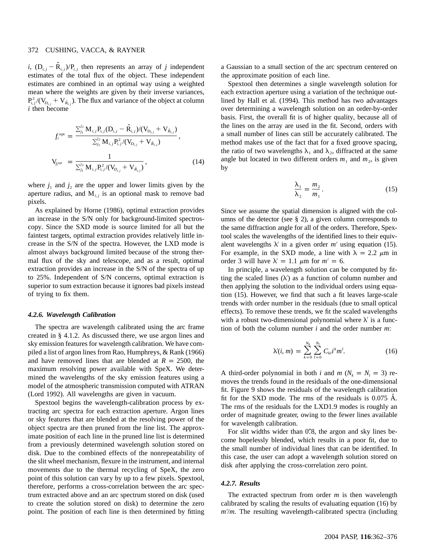*i*,  $(D_{i,j} - \tilde{R}_{i,j})/P_{i,j}$  then represents an array of *j* independent estimates of the total flux of the object. These independent estimates are combined in an optimal way using a weighted mean where the weights are given by their inverse variances,  $P_{i,j}^2 / (V_{D_{i,j}} + V_{\tilde{R}_{i,j}})$ . The flux and variance of the object at column *i* then become

$$
f_{i}^{\text{opt}} = \frac{\sum_{j_{1}}^{j_{2}} M_{i,j} P_{i,j} (D_{i,j} - \tilde{R}_{i,j})/(V_{D_{i,j}} + V_{\tilde{R}_{i,j}})}{\sum_{j_{1}}^{j_{2}} M_{i,j} P_{i,j}^{2}/(V_{D_{i,j}} + V_{\tilde{R}_{i,j}})},
$$
  

$$
V_{f_{i}^{\text{opt}}} = \frac{1}{\sum_{j_{1}}^{j_{2}} M_{i,j} P_{i,j}^{2}/(V_{D_{i,j}} + V_{\tilde{R}_{i,j}})},
$$
(14)

where  $j_1$  and  $j_2$  are the upper and lower limits given by the aperture radius, and  $M_i$  *j* is an optional mask to remove bad pixels.

As explained by Horne (1986), optimal extraction provides an increase in the S/N only for background-limited spectroscopy. Since the SXD mode is source limited for all but the faintest targets, optimal extraction provides relatively little increase in the S/N of the spectra. However, the LXD mode is almost always background limited because of the strong thermal flux of the sky and telescope, and as a result, optimal extraction provides an increase in the S/N of the spectra of up to 25%. Independent of S/N concerns, optimal extraction is superior to sum extraction because it ignores bad pixels instead of trying to fix them.

#### *4.2.6. Wavelength Calibration*

The spectra are wavelength calibrated using the arc frame created in § 4.1.2. As discussed there, we use argon lines and sky emission features for wavelength calibration. We have compiled a list of argon lines from Rao, Humphreys, & Rank (1966) and have removed lines that are blended at  $R = 2500$ , the maximum resolving power available with SpeX. We determined the wavelengths of the sky emission features using a model of the atmospheric transmission computed with ATRAN (Lord 1992). All wavelengths are given in vacuum.

Spextool begins the wavelength-calibration process by extracting arc spectra for each extraction aperture. Argon lines or sky features that are blended at the resolving power of the object spectra are then pruned from the line list. The approximate position of each line in the pruned line list is determined from a previously determined wavelength solution stored on disk. Due to the combined effects of the nonrepeatability of the slit wheel mechanism, flexure in the instrument, and internal movements due to the thermal recycling of SpeX, the zero point of this solution can vary by up to a few pixels. Spextool, therefore, performs a cross-correlation between the arc spectrum extracted above and an arc spectrum stored on disk (used to create the solution stored on disk) to determine the zero point. The position of each line is then determined by fitting a Gaussian to a small section of the arc spectrum centered on the approximate position of each line.

Spextool then determines a single wavelength solution for each extraction aperture using a variation of the technique outlined by Hall et al. (1994). This method has two advantages over determining a wavelength solution on an order-by-order basis. First, the overall fit is of higher quality, because all of the lines on the array are used in the fit. Second, orders with a small number of lines can still be accurately calibrated. The method makes use of the fact that for a fixed groove spacing, the ratio of two wavelengths  $\lambda_1$  and  $\lambda_2$ , diffracted at the same angle but located in two different orders  $m_1$  and  $m_2$ , is given by

$$
\frac{\lambda_1}{\lambda_2} = \frac{m_2}{m_1}.
$$
 (15)

Since we assume the spatial dimension is aligned with the columns of the detector (see § 2), a given column corresponds to the same diffraction angle for all of the orders. Therefore, Spextool scales the wavelengths of the identified lines to their equivalent wavelengths  $\lambda'$  in a given order  $m'$  using equation (15). For example, in the SXD mode, a line with  $\lambda = 2.2 \mu m$  in order 3 will have  $\lambda' = 1.1 \mu m$  for  $m' = 6$ .

In principle, a wavelength solution can be computed by fitting the scaled lines  $(\lambda')$  as a function of column number and then applying the solution to the individual orders using equation (15). However, we find that such a fit leaves large-scale trends with order number in the residuals (due to small optical effects). To remove these trends, we fit the scaled wavelengths with a robust two-dimensional polynomial where  $\lambda'$  is a function of both the column number *i* and the order number *m*:

$$
\lambda(i, m) = \sum_{k=0}^{N_k} \sum_{l=0}^{N_l} C_{kl} i^k m^l.
$$
 (16)

A third-order polynomial in both *i* and *m* ( $N_k = N_l = 3$ ) removes the trends found in the residuals of the one-dimensional fit. Figure 9 shows the residuals of the wavelength calibration fit for the SXD mode. The rms of the residuals is  $0.075$  Å. The rms of the residuals for the LXD1.9 modes is roughly an order of magnitude greater, owing to the fewer lines available for wavelength calibration.

For slit widths wider than 0.8, the argon and sky lines become hopelessly blended, which results in a poor fit, due to the small number of individual lines that can be identified. In this case, the user can adopt a wavelength solution stored on disk after applying the cross-correlation zero point.

#### *4.2.7. Results*

The extracted spectrum from order *m* is then wavelength calibrated by scaling the results of evaluating equation (16) by  $m'/m$ . The resulting wavelength-calibrated spectra (including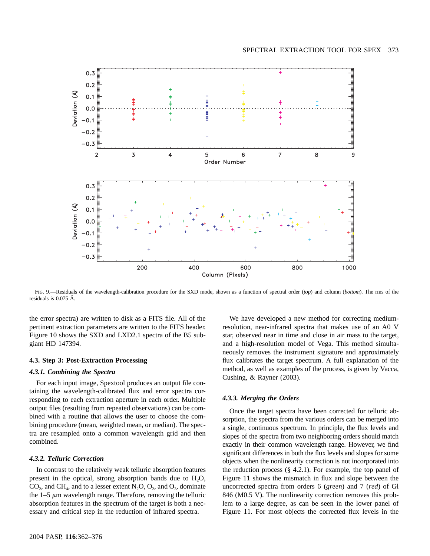

Fig. 9.—Residuals of the wavelength-calibration procedure for the SXD mode, shown as a function of spectral order (*top*) and column (*bottom*). The rms of the residuals is  $0.075$  Å.

the error spectra) are written to disk as a FITS file. All of the pertinent extraction parameters are written to the FITS header. Figure 10 shows the SXD and LXD2.1 spectra of the B5 subgiant HD 147394.

#### **4.3. Step 3: Post-Extraction Processing**

#### *4.3.1. Combining the Spectra*

For each input image, Spextool produces an output file containing the wavelength-calibrated flux and error spectra corresponding to each extraction aperture in each order. Multiple output files (resulting from repeated observations) can be combined with a routine that allows the user to choose the combining procedure (mean, weighted mean, or median). The spectra are resampled onto a common wavelength grid and then combined.

## *4.3.2. Telluric Correction*

In contrast to the relatively weak telluric absorption features present in the optical, strong absorption bands due to  $H_2O$ ,  $CO<sub>2</sub>$ , and CH<sub>4</sub>, and to a lesser extent N<sub>2</sub>O,  $O<sub>2</sub>$ , and  $O<sub>3</sub>$ , dominate the  $1-5 \mu m$  wavelength range. Therefore, removing the telluric absorption features in the spectrum of the target is both a necessary and critical step in the reduction of infrared spectra.

We have developed a new method for correcting mediumresolution, near-infrared spectra that makes use of an A0 V star, observed near in time and close in air mass to the target, and a high-resolution model of Vega. This method simultaneously removes the instrument signature and approximately flux calibrates the target spectrum. A full explanation of the method, as well as examples of the process, is given by Vacca, Cushing, & Rayner (2003).

## *4.3.3. Merging the Orders*

Once the target spectra have been corrected for telluric absorption, the spectra from the various orders can be merged into a single, continuous spectrum. In principle, the flux levels and slopes of the spectra from two neighboring orders should match exactly in their common wavelength range. However, we find significant differences in both the flux levels and slopes for some objects when the nonlinearity correction is not incorporated into the reduction process  $(\S$  4.2.1). For example, the top panel of Figure 11 shows the mismatch in flux and slope between the uncorrected spectra from orders 6 (*green*) and 7 (*red*) of Gl 846 (M0.5 V). The nonlinearity correction removes this problem to a large degree, as can be seen in the lower panel of Figure 11. For most objects the corrected flux levels in the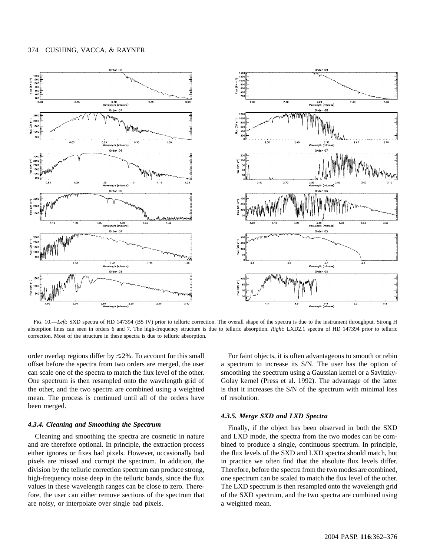

Fig. 10.—*Left*: SXD spectra of HD 147394 (B5 IV) prior to telluric correction. The overall shape of the spectra is due to the instrument throughput. Strong H absorption lines can seen in orders 6 and 7. The high-frequency structure is due to telluric absorption. *Right*: LXD2.1 spectra of HD 147394 prior to telluric correction. Most of the structure in these spectra is due to telluric absorption.

order overlap regions differ by  $\leq 2\%$ . To account for this small offset before the spectra from two orders are merged, the user can scale one of the spectra to match the flux level of the other. One spectrum is then resampled onto the wavelength grid of the other, and the two spectra are combined using a weighted mean. The process is continued until all of the orders have been merged.

## *4.3.4. Cleaning and Smoothing the Spectrum*

Cleaning and smoothing the spectra are cosmetic in nature and are therefore optional. In principle, the extraction process either ignores or fixes bad pixels. However, occasionally bad pixels are missed and corrupt the spectrum. In addition, the division by the telluric correction spectrum can produce strong, high-frequency noise deep in the telluric bands, since the flux values in these wavelength ranges can be close to zero. Therefore, the user can either remove sections of the spectrum that are noisy, or interpolate over single bad pixels.

For faint objects, it is often advantageous to smooth or rebin a spectrum to increase its S/N. The user has the option of smoothing the spectrum using a Gaussian kernel or a Savitzky-Golay kernel (Press et al. 1992). The advantage of the latter is that it increases the S/N of the spectrum with minimal loss of resolution.

## *4.3.5. Merge SXD and LXD Spectra*

Finally, if the object has been observed in both the SXD and LXD mode, the spectra from the two modes can be combined to produce a single, continuous spectrum. In principle, the flux levels of the SXD and LXD spectra should match, but in practice we often find that the absolute flux levels differ. Therefore, before the spectra from the two modes are combined, one spectrum can be scaled to match the flux level of the other. The LXD spectrum is then resampled onto the wavelength grid of the SXD spectrum, and the two spectra are combined using a weighted mean.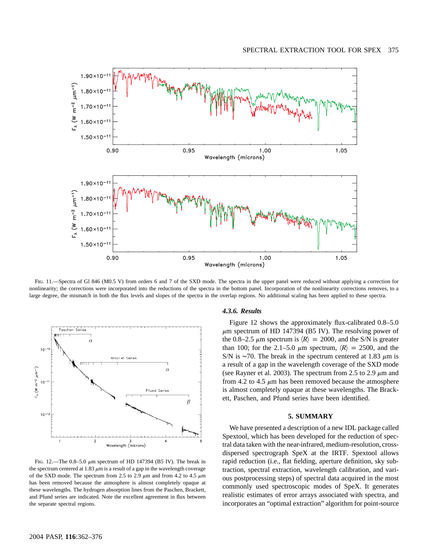

Fig. 11.—Spectra of Gl 846 (M0.5 V) from orders 6 and 7 of the SXD mode. The spectra in the upper panel were reduced without applying a correction for nonlinearity; the corrections were incorporated into the reductions of the spectra in the bottom panel. Incorporation of the nonlinearity corrections removes, to a large degree, the mismatch in both the flux levels and slopes of the spectra in the overlap regions. No additional scaling has been applied to these spectra.



FIG. 12.—The 0.8–5.0  $\mu$ m spectrum of HD 147394 (B5 IV). The break in the spectrum centered at 1.83  $\mu$ m is a result of a gap in the wavelength coverage of the SXD mode. The spectrum from 2.5 to 2.9  $\mu$ m and from 4.2 to 4.5  $\mu$ m has been removed because the atmosphere is almost completely opaque at these wavelengths. The hydrogen absorption lines from the Paschen, Brackett, and Pfund series are indicated. Note the excellent agreement in flux between the separate spectral regions.

#### *4.3.6. Results*

Figure 12 shows the approximately flux-calibrated 0.8–5.0  $\mu$ m spectrum of HD 147394 (B5 IV). The resolving power of the 0.8–2.5  $\mu$ m spectrum is  $\langle R \rangle = 2000$ , and the S/N is greater than 100; for the 2.1–5.0  $\mu$ m spectrum,  $\langle R \rangle = 2500$ , and the S/N is ~70. The break in the spectrum centered at 1.83  $\mu$ m is a result of a gap in the wavelength coverage of the SXD mode (see Rayner et al. 2003). The spectrum from 2.5 to 2.9  $\mu$ m and from 4.2 to 4.5  $\mu$ m has been removed because the atmosphere is almost completely opaque at these wavelengths. The Brackett, Paschen, and Pfund series have been identified.

## **5. SUMMARY**

We have presented a description of a new IDL package called Spextool, which has been developed for the reduction of spectral data taken with the near-infrared, medium-resolution, crossdispersed spectrograph SpeX at the IRTF. Spextool allows rapid reduction (i.e., flat fielding, aperture definition, sky subtraction, spectral extraction, wavelength calibration, and various postprocessing steps) of spectral data acquired in the most commonly used spectroscopic modes of SpeX. It generates realistic estimates of error arrays associated with spectra, and incorporates an "optimal extraction" algorithm for point-source